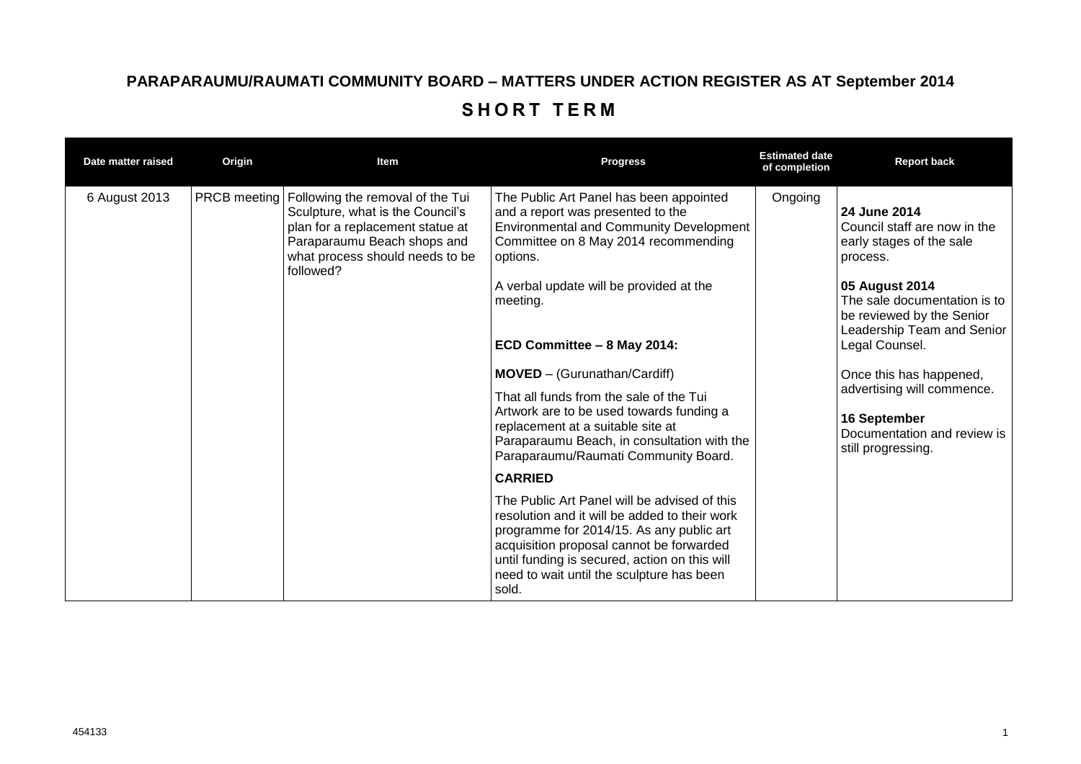## **PARAPARAUMU/RAUMATI COMMUNITY BOARD – MATTERS UNDER ACTION REGISTER AS AT September 2014** SHORT TERM

| Date matter raised | Origin | Item                                                                                                                                                                                                   | <b>Progress</b>                                                                                                                                                                                                                                                                                                | <b>Estimated date</b><br>of completion | <b>Report back</b>                                                                                                                                                                                                  |
|--------------------|--------|--------------------------------------------------------------------------------------------------------------------------------------------------------------------------------------------------------|----------------------------------------------------------------------------------------------------------------------------------------------------------------------------------------------------------------------------------------------------------------------------------------------------------------|----------------------------------------|---------------------------------------------------------------------------------------------------------------------------------------------------------------------------------------------------------------------|
| 6 August 2013      |        | PRCB meeting   Following the removal of the Tui<br>Sculpture, what is the Council's<br>plan for a replacement statue at<br>Paraparaumu Beach shops and<br>what process should needs to be<br>followed? | The Public Art Panel has been appointed<br>and a report was presented to the<br><b>Environmental and Community Development</b><br>Committee on 8 May 2014 recommending<br>options.<br>A verbal update will be provided at the<br>meeting.<br>ECD Committee - 8 May 2014:                                       | Ongoing                                | 24 June 2014<br>Council staff are now in the<br>early stages of the sale<br>process.<br>05 August 2014<br>The sale documentation is to<br>be reviewed by the Senior<br>Leadership Team and Senior<br>Legal Counsel. |
|                    |        |                                                                                                                                                                                                        | <b>MOVED</b> – (Gurunathan/Cardiff)<br>That all funds from the sale of the Tui<br>Artwork are to be used towards funding a<br>replacement at a suitable site at<br>Paraparaumu Beach, in consultation with the<br>Paraparaumu/Raumati Community Board.                                                         |                                        | Once this has happened,<br>advertising will commence.<br>16 September<br>Documentation and review is<br>still progressing.                                                                                          |
|                    |        |                                                                                                                                                                                                        | <b>CARRIED</b><br>The Public Art Panel will be advised of this<br>resolution and it will be added to their work<br>programme for 2014/15. As any public art<br>acquisition proposal cannot be forwarded<br>until funding is secured, action on this will<br>need to wait until the sculpture has been<br>sold. |                                        |                                                                                                                                                                                                                     |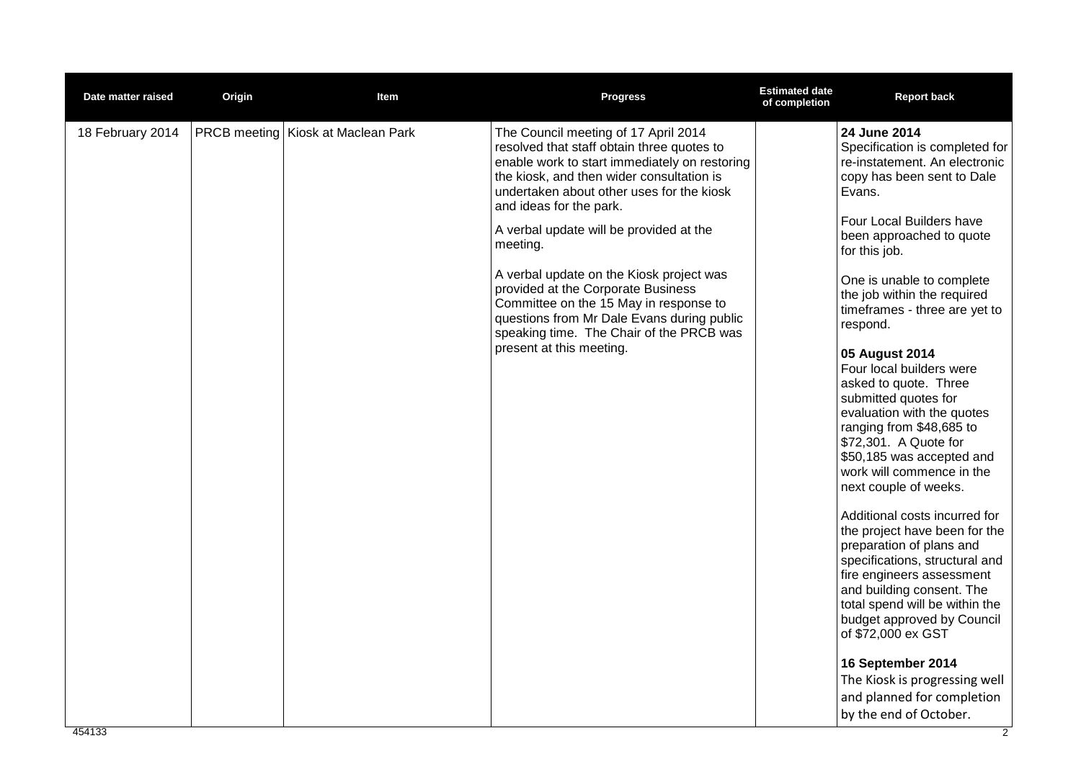| Date matter raised | Origin | Item                                      | <b>Progress</b>                                                                                                                                                                                                                                                                                                                                                                                                                                                                                                                                                   | <b>Estimated date</b><br>of completion | <b>Report back</b>                                                                                                                                                                                                                                                                                                                                                                                                                                                                                                                                                                                                                                                                                                                                                                                                                                                                                                                                                           |
|--------------------|--------|-------------------------------------------|-------------------------------------------------------------------------------------------------------------------------------------------------------------------------------------------------------------------------------------------------------------------------------------------------------------------------------------------------------------------------------------------------------------------------------------------------------------------------------------------------------------------------------------------------------------------|----------------------------------------|------------------------------------------------------------------------------------------------------------------------------------------------------------------------------------------------------------------------------------------------------------------------------------------------------------------------------------------------------------------------------------------------------------------------------------------------------------------------------------------------------------------------------------------------------------------------------------------------------------------------------------------------------------------------------------------------------------------------------------------------------------------------------------------------------------------------------------------------------------------------------------------------------------------------------------------------------------------------------|
| 18 February 2014   |        | <b>PRCB meeting Kiosk at Maclean Park</b> | The Council meeting of 17 April 2014<br>resolved that staff obtain three quotes to<br>enable work to start immediately on restoring<br>the kiosk, and then wider consultation is<br>undertaken about other uses for the kiosk<br>and ideas for the park.<br>A verbal update will be provided at the<br>meeting.<br>A verbal update on the Kiosk project was<br>provided at the Corporate Business<br>Committee on the 15 May in response to<br>questions from Mr Dale Evans during public<br>speaking time. The Chair of the PRCB was<br>present at this meeting. |                                        | 24 June 2014<br>Specification is completed for<br>re-instatement. An electronic<br>copy has been sent to Dale<br>Evans.<br>Four Local Builders have<br>been approached to quote<br>for this job.<br>One is unable to complete<br>the job within the required<br>timeframes - three are yet to<br>respond.<br>05 August 2014<br>Four local builders were<br>asked to quote. Three<br>submitted quotes for<br>evaluation with the quotes<br>ranging from \$48,685 to<br>\$72,301. A Quote for<br>\$50,185 was accepted and<br>work will commence in the<br>next couple of weeks.<br>Additional costs incurred for<br>the project have been for the<br>preparation of plans and<br>specifications, structural and<br>fire engineers assessment<br>and building consent. The<br>total spend will be within the<br>budget approved by Council<br>of \$72,000 ex GST<br>16 September 2014<br>The Kiosk is progressing well<br>and planned for completion<br>by the end of October. |
|                    |        |                                           |                                                                                                                                                                                                                                                                                                                                                                                                                                                                                                                                                                   |                                        |                                                                                                                                                                                                                                                                                                                                                                                                                                                                                                                                                                                                                                                                                                                                                                                                                                                                                                                                                                              |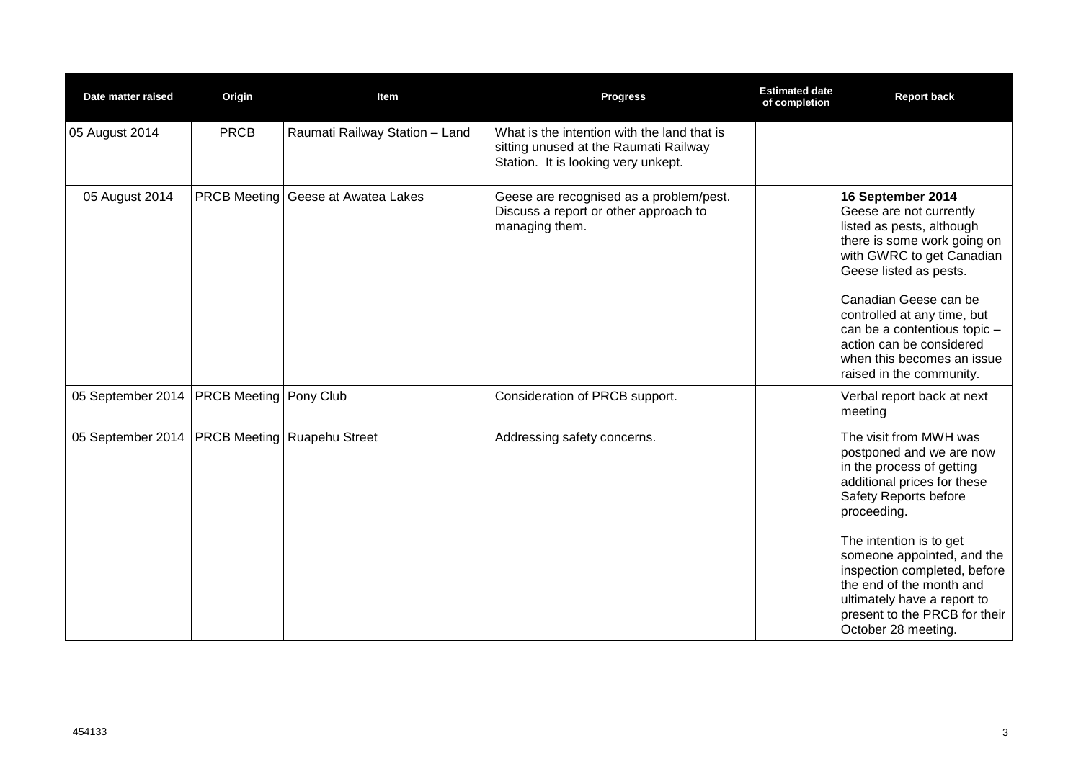| Date matter raised                           | Origin      | Item                                      | <b>Progress</b>                                                                                                             | <b>Estimated date</b><br>of completion | <b>Report back</b>                                                                                                                                                                                                                                                                                                                                                 |
|----------------------------------------------|-------------|-------------------------------------------|-----------------------------------------------------------------------------------------------------------------------------|----------------------------------------|--------------------------------------------------------------------------------------------------------------------------------------------------------------------------------------------------------------------------------------------------------------------------------------------------------------------------------------------------------------------|
| 05 August 2014                               | <b>PRCB</b> | Raumati Railway Station - Land            | What is the intention with the land that is<br>sitting unused at the Raumati Railway<br>Station. It is looking very unkept. |                                        |                                                                                                                                                                                                                                                                                                                                                                    |
| 05 August 2014                               |             | <b>PRCB Meeting Geese at Awatea Lakes</b> | Geese are recognised as a problem/pest.<br>Discuss a report or other approach to<br>managing them.                          |                                        | 16 September 2014<br>Geese are not currently<br>listed as pests, although<br>there is some work going on<br>with GWRC to get Canadian<br>Geese listed as pests.<br>Canadian Geese can be<br>controlled at any time, but<br>can be a contentious topic -<br>action can be considered<br>when this becomes an issue<br>raised in the community.                      |
| 05 September 2014   PRCB Meeting   Pony Club |             |                                           | Consideration of PRCB support.                                                                                              |                                        | Verbal report back at next<br>meeting                                                                                                                                                                                                                                                                                                                              |
| 05 September 2014                            |             | <b>PRCB Meeting Ruapehu Street</b>        | Addressing safety concerns.                                                                                                 |                                        | The visit from MWH was<br>postponed and we are now<br>in the process of getting<br>additional prices for these<br>Safety Reports before<br>proceeding.<br>The intention is to get<br>someone appointed, and the<br>inspection completed, before<br>the end of the month and<br>ultimately have a report to<br>present to the PRCB for their<br>October 28 meeting. |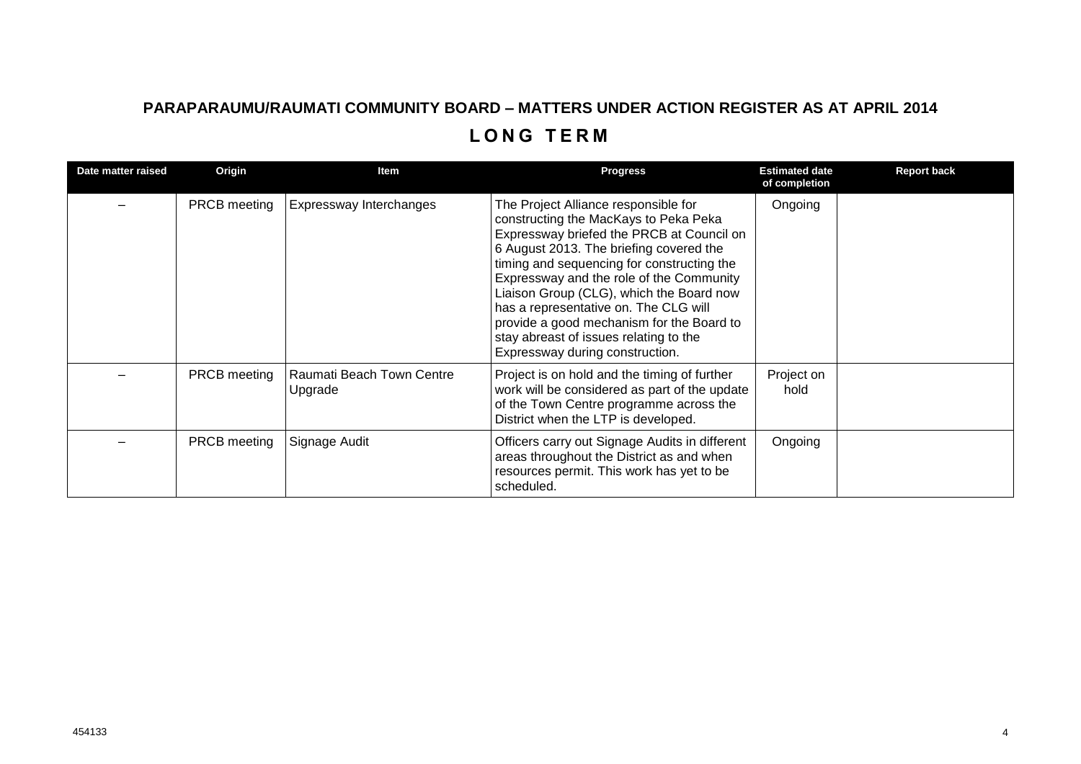## **PARAPARAUMU/RAUMATI COMMUNITY BOARD – MATTERS UNDER ACTION REGISTER AS AT APRIL 2014 L O N G T E R M**

| Date matter raised | Origin              | Item                                 | <b>Progress</b>                                                                                                                                                                                                                                                                                                                                                                                                                                                                | <b>Estimated date</b><br>of completion | <b>Report back</b> |
|--------------------|---------------------|--------------------------------------|--------------------------------------------------------------------------------------------------------------------------------------------------------------------------------------------------------------------------------------------------------------------------------------------------------------------------------------------------------------------------------------------------------------------------------------------------------------------------------|----------------------------------------|--------------------|
|                    | <b>PRCB</b> meeting | Expressway Interchanges              | The Project Alliance responsible for<br>constructing the MacKays to Peka Peka<br>Expressway briefed the PRCB at Council on<br>6 August 2013. The briefing covered the<br>timing and sequencing for constructing the<br>Expressway and the role of the Community<br>Liaison Group (CLG), which the Board now<br>has a representative on. The CLG will<br>provide a good mechanism for the Board to<br>stay abreast of issues relating to the<br>Expressway during construction. | Ongoing                                |                    |
|                    | <b>PRCB</b> meeting | Raumati Beach Town Centre<br>Upgrade | Project is on hold and the timing of further<br>work will be considered as part of the update<br>of the Town Centre programme across the<br>District when the LTP is developed.                                                                                                                                                                                                                                                                                                | Project on<br>hold                     |                    |
|                    | <b>PRCB</b> meeting | Signage Audit                        | Officers carry out Signage Audits in different<br>areas throughout the District as and when<br>resources permit. This work has yet to be<br>scheduled.                                                                                                                                                                                                                                                                                                                         | Ongoing                                |                    |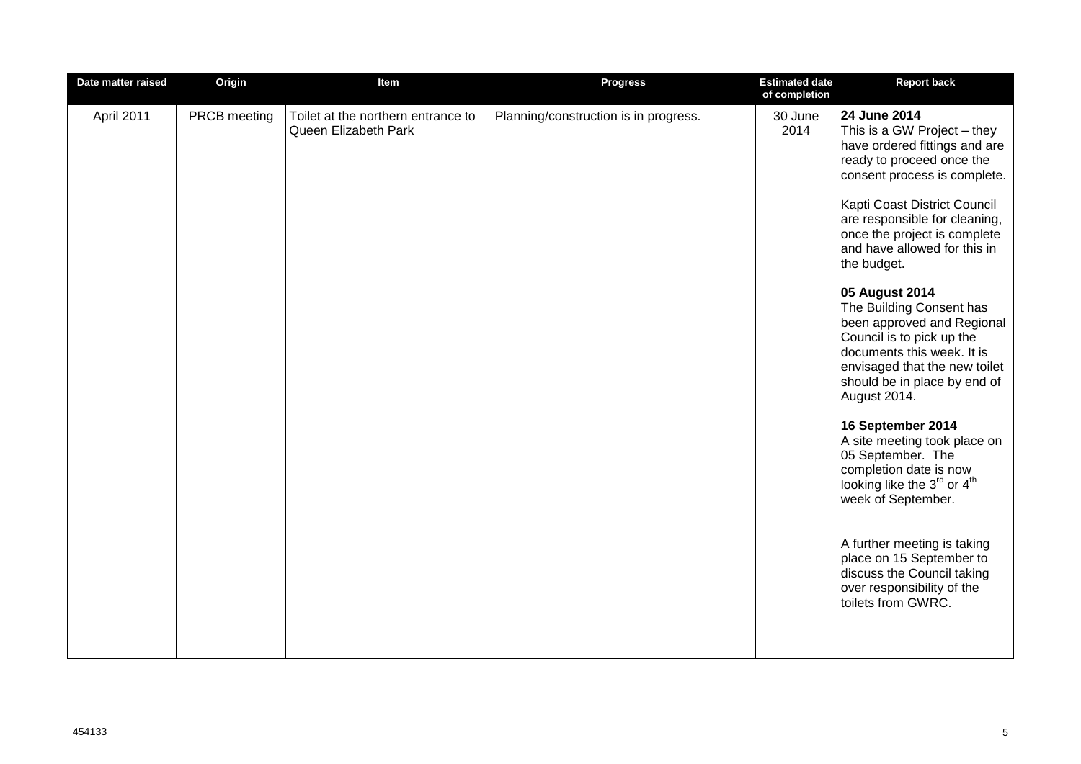| Date matter raised | Origin       | Item                                                       | <b>Progress</b>                       | <b>Estimated date</b><br>of completion | <b>Report back</b>                                                                                                                                                                                                                                                                                                                                                                                                                                                                                                                                                                                                                                                                                                                                                                                                                  |
|--------------------|--------------|------------------------------------------------------------|---------------------------------------|----------------------------------------|-------------------------------------------------------------------------------------------------------------------------------------------------------------------------------------------------------------------------------------------------------------------------------------------------------------------------------------------------------------------------------------------------------------------------------------------------------------------------------------------------------------------------------------------------------------------------------------------------------------------------------------------------------------------------------------------------------------------------------------------------------------------------------------------------------------------------------------|
| April 2011         | PRCB meeting | Toilet at the northern entrance to<br>Queen Elizabeth Park | Planning/construction is in progress. | 30 June<br>2014                        | 24 June 2014<br>This is a GW Project - they<br>have ordered fittings and are<br>ready to proceed once the<br>consent process is complete.<br>Kapti Coast District Council<br>are responsible for cleaning,<br>once the project is complete<br>and have allowed for this in<br>the budget.<br>05 August 2014<br>The Building Consent has<br>been approved and Regional<br>Council is to pick up the<br>documents this week. It is<br>envisaged that the new toilet<br>should be in place by end of<br>August 2014.<br>16 September 2014<br>A site meeting took place on<br>05 September. The<br>completion date is now<br>looking like the 3rd or 4 <sup>th</sup><br>week of September.<br>A further meeting is taking<br>place on 15 September to<br>discuss the Council taking<br>over responsibility of the<br>toilets from GWRC. |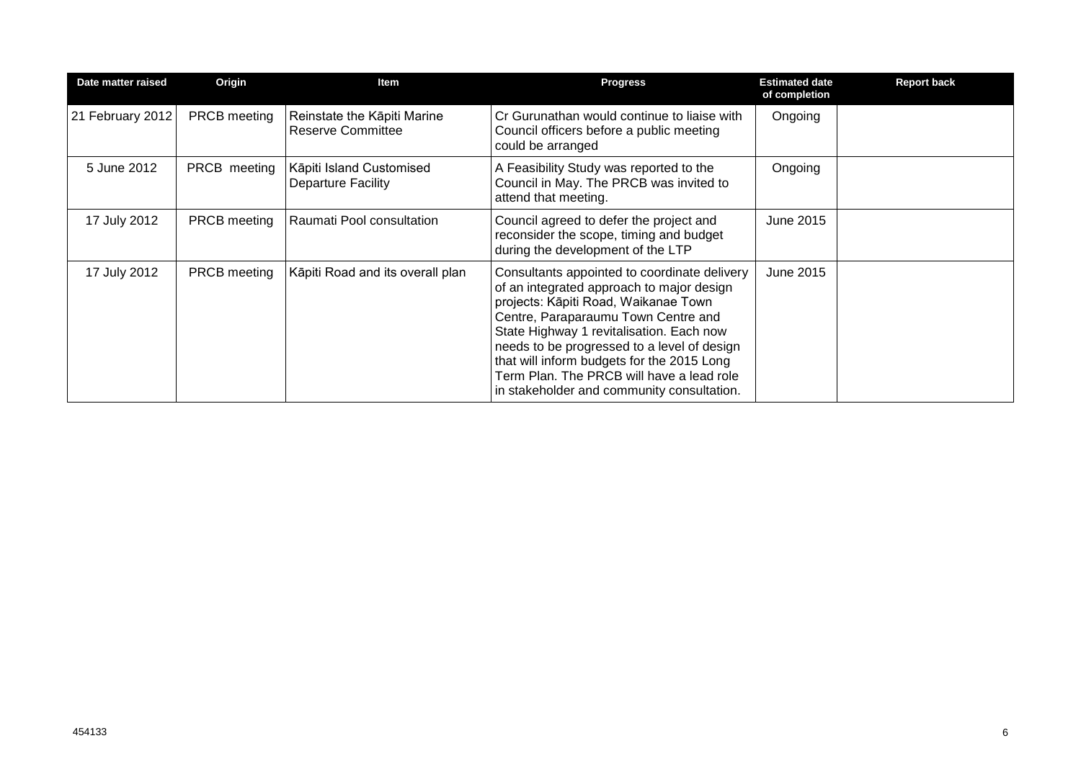| Date matter raised | Origin              | Item                                                    | <b>Progress</b>                                                                                                                                                                                                                                                                                                                                                                                              | <b>Estimated date</b><br>of completion | <b>Report back</b> |
|--------------------|---------------------|---------------------------------------------------------|--------------------------------------------------------------------------------------------------------------------------------------------------------------------------------------------------------------------------------------------------------------------------------------------------------------------------------------------------------------------------------------------------------------|----------------------------------------|--------------------|
| 21 February 2012   | <b>PRCB</b> meeting | Reinstate the Kāpiti Marine<br><b>Reserve Committee</b> | Cr Gurunathan would continue to liaise with<br>Council officers before a public meeting<br>could be arranged                                                                                                                                                                                                                                                                                                 | Ongoing                                |                    |
| 5 June 2012        | PRCB meeting        | Kāpiti Island Customised<br><b>Departure Facility</b>   | A Feasibility Study was reported to the<br>Council in May. The PRCB was invited to<br>attend that meeting.                                                                                                                                                                                                                                                                                                   | Ongoing                                |                    |
| 17 July 2012       | <b>PRCB</b> meeting | Raumati Pool consultation                               | Council agreed to defer the project and<br>reconsider the scope, timing and budget<br>during the development of the LTP                                                                                                                                                                                                                                                                                      | June 2015                              |                    |
| 17 July 2012       | <b>PRCB</b> meeting | Kāpiti Road and its overall plan                        | Consultants appointed to coordinate delivery<br>of an integrated approach to major design<br>projects: Kāpiti Road, Waikanae Town<br>Centre, Paraparaumu Town Centre and<br>State Highway 1 revitalisation. Each now<br>needs to be progressed to a level of design<br>that will inform budgets for the 2015 Long<br>Term Plan. The PRCB will have a lead role<br>in stakeholder and community consultation. | June 2015                              |                    |